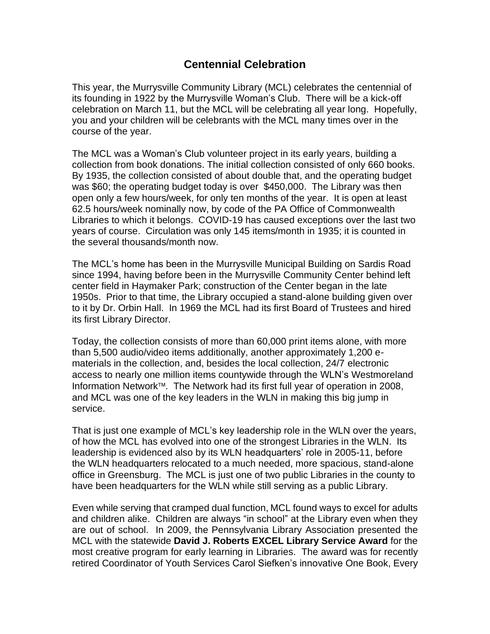## **Centennial Celebration**

This year, the Murrysville Community Library (MCL) celebrates the centennial of its founding in 1922 by the Murrysville Woman's Club. There will be a kick-off celebration on March 11, but the MCL will be celebrating all year long. Hopefully, you and your children will be celebrants with the MCL many times over in the course of the year.

The MCL was a Woman's Club volunteer project in its early years, building a collection from book donations. The initial collection consisted of only 660 books. By 1935, the collection consisted of about double that, and the operating budget was \$60; the operating budget today is over \$450,000. The Library was then open only a few hours/week, for only ten months of the year. It is open at least 62.5 hours/week nominally now, by code of the PA Office of Commonwealth Libraries to which it belongs. COVID-19 has caused exceptions over the last two years of course. Circulation was only 145 items/month in 1935; it is counted in the several thousands/month now.

The MCL's home has been in the Murrysville Municipal Building on Sardis Road since 1994, having before been in the Murrysville Community Center behind left center field in Haymaker Park; construction of the Center began in the late 1950s. Prior to that time, the Library occupied a stand-alone building given over to it by Dr. Orbin Hall. In 1969 the MCL had its first Board of Trustees and hired its first Library Director.

Today, the collection consists of more than 60,000 print items alone, with more than 5,500 audio/video items additionally, another approximately 1,200 ematerials in the collection, and, besides the local collection, 24/7 electronic access to nearly one million items countywide through the WLN's Westmoreland Information Network<sup>™</sup>. The Network had its first full year of operation in 2008, and MCL was one of the key leaders in the WLN in making this big jump in service.

That is just one example of MCL's key leadership role in the WLN over the years, of how the MCL has evolved into one of the strongest Libraries in the WLN. Its leadership is evidenced also by its WLN headquarters' role in 2005-11, before the WLN headquarters relocated to a much needed, more spacious, stand-alone office in Greensburg. The MCL is just one of two public Libraries in the county to have been headquarters for the WLN while still serving as a public Library.

Even while serving that cramped dual function, MCL found ways to excel for adults and children alike. Children are always "in school" at the Library even when they are out of school. In 2009, the Pennsylvania Library Association presented the MCL with the statewide **David J. Roberts EXCEL Library Service Award** for the most creative program for early learning in Libraries. The award was for recently retired Coordinator of Youth Services Carol Siefken's innovative One Book, Every